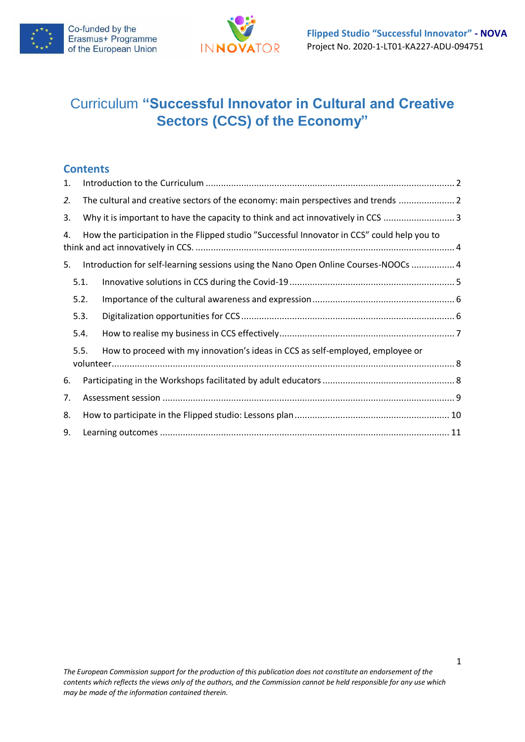



# Curriculum **"Successful Innovator in Cultural and Creative Sectors (CCS) of the Economy"**

### **Contents**

| 1.   |                                                                                             |  |  |  |  |  |  |  |
|------|---------------------------------------------------------------------------------------------|--|--|--|--|--|--|--|
| 2.   | The cultural and creative sectors of the economy: main perspectives and trends  2           |  |  |  |  |  |  |  |
| 3.   | Why it is important to have the capacity to think and act innovatively in CCS 3             |  |  |  |  |  |  |  |
| 4.   | How the participation in the Flipped studio "Successful Innovator in CCS" could help you to |  |  |  |  |  |  |  |
| 5.   | Introduction for self-learning sessions using the Nano Open Online Courses-NOOCs  4         |  |  |  |  |  |  |  |
|      | 5.1.                                                                                        |  |  |  |  |  |  |  |
|      | 5.2.                                                                                        |  |  |  |  |  |  |  |
| 5.3. |                                                                                             |  |  |  |  |  |  |  |
|      | 5.4.                                                                                        |  |  |  |  |  |  |  |
|      | 5.5.<br>How to proceed with my innovation's ideas in CCS as self-employed, employee or      |  |  |  |  |  |  |  |
| 6.   |                                                                                             |  |  |  |  |  |  |  |
| 7.   |                                                                                             |  |  |  |  |  |  |  |
| 8.   |                                                                                             |  |  |  |  |  |  |  |
| 9.   |                                                                                             |  |  |  |  |  |  |  |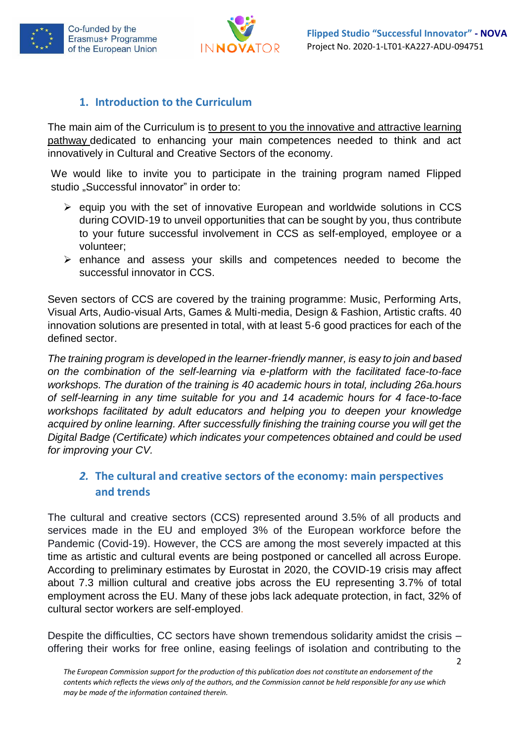



### <span id="page-1-0"></span>**1. Introduction to the Curriculum**

The main aim of the Curriculum is to present to you the innovative and attractive learning pathway dedicated to enhancing your main competences needed to think and act innovatively in Cultural and Creative Sectors of the economy.

We would like to invite you to participate in the training program named Flipped studio "Successful innovator" in order to:

- ➢ equip you with the set of innovative European and worldwide solutions in CCS during COVID-19 to unveil opportunities that can be sought by you, thus contribute to your future successful involvement in CCS as self-employed, employee or a volunteer;
- ➢ enhance and assess your skills and competences needed to become the successful innovator in CCS.

Seven sectors of CCS are covered by the training programme: Music, Performing Arts, Visual Arts, Audio-visual Arts, Games & Multi-media, Design & Fashion, Artistic crafts. 40 innovation solutions are presented in total, with at least 5-6 good practices for each of the defined sector.

*The training program is developed in the learner-friendly manner, is easy to join and based on the combination of the self-learning via e-platform with the facilitated face-to-face workshops. The duration of the training is 40 academic hours in total, including 26a.hours of self-learning in any time suitable for you and 14 academic hours for 4 face-to-face workshops facilitated by adult educators and helping you to deepen your knowledge acquired by online learning. After successfully finishing the training course you will get the Digital Badge (Certificate) which indicates your competences obtained and could be used for improving your CV.*

# <span id="page-1-1"></span>*2.* **The cultural and creative sectors of the economy: main perspectives and trends**

The cultural and creative sectors (CCS) represented around 3.5% of all products and services made in the EU and employed 3% of the European workforce before the Pandemic (Covid-19). However, the CCS are among the most severely impacted at this time as artistic and cultural events are being postponed or cancelled all across Europe. According to preliminary estimates by Eurostat in 2020, the COVID-19 crisis may affect about 7.3 million cultural and creative jobs across the EU representing 3.7% of total employment across the EU. Many of these jobs lack adequate protection, in fact, 32% of cultural sector workers are self-employed.

Despite the difficulties, CC sectors have shown tremendous solidarity amidst the crisis – offering their works for free online, easing feelings of isolation and contributing to the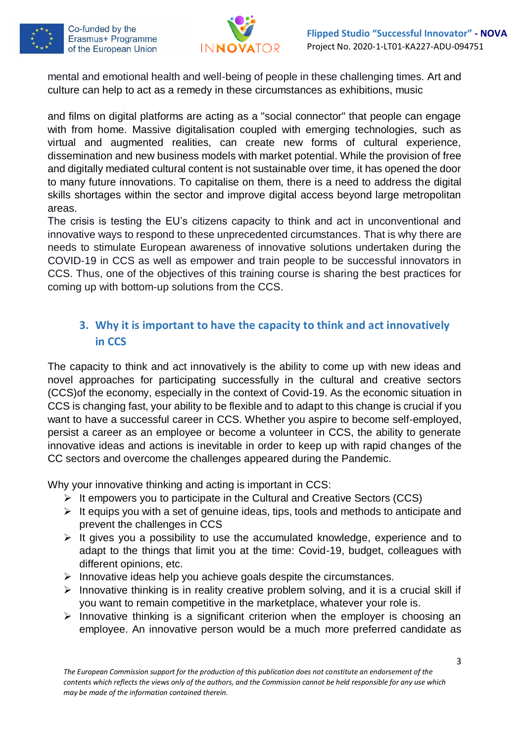



mental and emotional health and well-being of people in these challenging times. Art and culture can help to act as a remedy in these circumstances as exhibitions, music

and films on digital platforms are acting as a "social connector" that people can engage with from home. Massive digitalisation coupled with emerging technologies, such as virtual and augmented realities, can create new forms of cultural experience, dissemination and new business models with market potential. While the provision of free and digitally mediated cultural content is not sustainable over time, it has opened the door to many future innovations. To capitalise on them, there is a need to address the digital skills shortages within the sector and improve digital access beyond large metropolitan areas.

The crisis is testing the EU's citizens capacity to think and act in unconventional and innovative ways to respond to these unprecedented circumstances. That is why there are needs to stimulate European awareness of innovative solutions undertaken during the COVID-19 in CCS as well as empower and train people to be successful innovators in CCS. Thus, one of the objectives of this training course is sharing the best practices for coming up with bottom-up solutions from the CCS.

# <span id="page-2-0"></span>**3. Why it is important to have the capacity to think and act innovatively in CCS**

The capacity to think and act innovatively is the ability to come up with new ideas and novel approaches for participating successfully in the cultural and creative sectors (CCS)of the economy, especially in the context of Covid-19. As the economic situation in CCS is changing fast, your ability to be flexible and to adapt to this change is crucial if you want to have a successful career in CCS. Whether you aspire to become self-employed, persist a career as an employee or become a volunteer in CCS, the ability to generate innovative ideas and actions is inevitable in order to keep up with rapid changes of the CC sectors and overcome the challenges appeared during the Pandemic.

Why your innovative thinking and acting is important in CCS:

- ➢ It empowers you to participate in the Cultural and Creative Sectors (CCS)
- $\triangleright$  It equips you with a set of genuine ideas, tips, tools and methods to anticipate and prevent the challenges in CCS
- ➢ It gives you a possibility to use the accumulated knowledge, experience and to adapt to the things that limit you at the time: Covid-19, budget, colleagues with different opinions, etc.
- ➢ Innovative ideas help you achieve goals despite the circumstances.
- $\triangleright$  Innovative thinking is in reality creative problem solving, and it is a crucial skill if you want to remain competitive in the marketplace, whatever your role is.
- $\triangleright$  Innovative thinking is a significant criterion when the employer is choosing an employee. An innovative person would be a much more preferred candidate as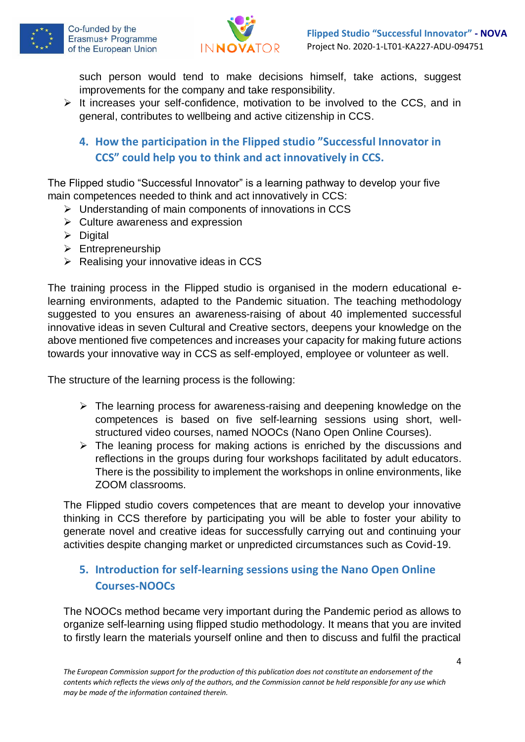



such person would tend to make decisions himself, take actions, suggest improvements for the company and take responsibility.

- <span id="page-3-0"></span>➢ It increases your self-confidence, motivation to be involved to the CCS, and in general, contributes to wellbeing and active citizenship in CCS.
	- **4. How the participation in the Flipped studio "Successful Innovator in CCS" could help you to think and act innovatively in CCS.**

The Flipped studio "Successful Innovator" is a learning pathway to develop your five main competences needed to think and act innovatively in CCS:

- ➢ Understanding of main components of innovations in CCS
- $\triangleright$  Culture awareness and expression
- ➢ Digital
- ➢ Entrepreneurship
- $\triangleright$  Realising your innovative ideas in CCS

The training process in the Flipped studio is organised in the modern educational elearning environments, adapted to the Pandemic situation. The teaching methodology suggested to you ensures an awareness-raising of about 40 implemented successful innovative ideas in seven Cultural and Creative sectors, deepens your knowledge on the above mentioned five competences and increases your capacity for making future actions towards your innovative way in CCS as self-employed, employee or volunteer as well.

The structure of the learning process is the following:

- ➢ The learning process for awareness-raising and deepening knowledge on the competences is based on five self-learning sessions using short, wellstructured video courses, named NOOCs (Nano Open Online Courses).
- $\triangleright$  The leaning process for making actions is enriched by the discussions and reflections in the groups during four workshops facilitated by adult educators. There is the possibility to implement the workshops in online environments, like ZOOM classrooms.

The Flipped studio covers competences that are meant to develop your innovative thinking in CCS therefore by participating you will be able to foster your ability to generate novel and creative ideas for successfully carrying out and continuing your activities despite changing market or unpredicted circumstances such as Covid-19.

# <span id="page-3-1"></span>**5. Introduction for self-learning sessions using the Nano Open Online Courses-NOOCs**

The NOOCs method became very important during the Pandemic period as allows to organize self-learning using flipped studio methodology. It means that you are invited to firstly learn the materials yourself online and then to discuss and fulfil the practical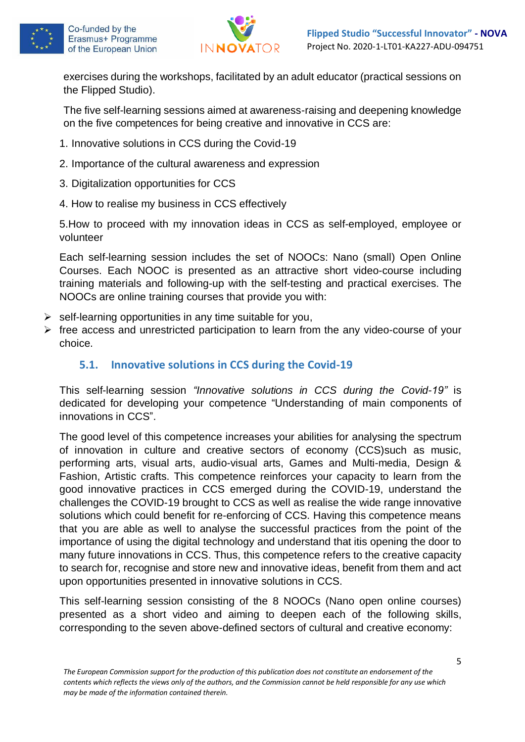



exercises during the workshops, facilitated by an adult educator (practical sessions on the Flipped Studio).

The five self-learning sessions aimed at awareness-raising and deepening knowledge on the five competences for being creative and innovative in CCS are:

- 1. Innovative solutions in CCS during the Covid-19
- 2. Importance of the cultural awareness and expression
- 3. Digitalization opportunities for CCS
- 4. How to realise my business in CCS effectively

5.How to proceed with my innovation ideas in CCS as self-employed, employee or volunteer

Each self-learning session includes the set of NOOCs: Nano (small) Open Online Courses. Each NOOC is presented as an attractive short video-course including training materials and following-up with the self-testing and practical exercises. The NOOCs are online training courses that provide you with:

- $\triangleright$  self-learning opportunities in any time suitable for you,
- ➢ free access and unrestricted participation to learn from the any video-course of your choice.

### <span id="page-4-0"></span>**5.1. Innovative solutions in CCS during the Covid-19**

This self-learning session *"Innovative solutions in CCS during the Covid-19"* is dedicated for developing your competence "Understanding of main components of innovations in CCS".

The good level of this competence increases your abilities for analysing the spectrum of innovation in culture and creative sectors of economy (CCS)such as music, performing arts, visual arts, audio-visual arts, Games and Multi-media, Design & Fashion, Artistic crafts. This competence reinforces your capacity to learn from the good innovative practices in CCS emerged during the COVID-19, understand the challenges the COVID-19 brought to CCS as well as realise the wide range innovative solutions which could benefit for re-enforcing of CCS. Having this competence means that you are able as well to analyse the successful practices from the point of the importance of using the digital technology and understand that itis opening the door to many future innovations in CCS. Thus, this competence refers to the creative capacity to search for, recognise and store new and innovative ideas, benefit from them and act upon opportunities presented in innovative solutions in CCS.

This self-learning session consisting of the 8 NOOCs (Nano open online courses) presented as a short video and aiming to deepen each of the following skills, corresponding to the seven above-defined sectors of cultural and creative economy: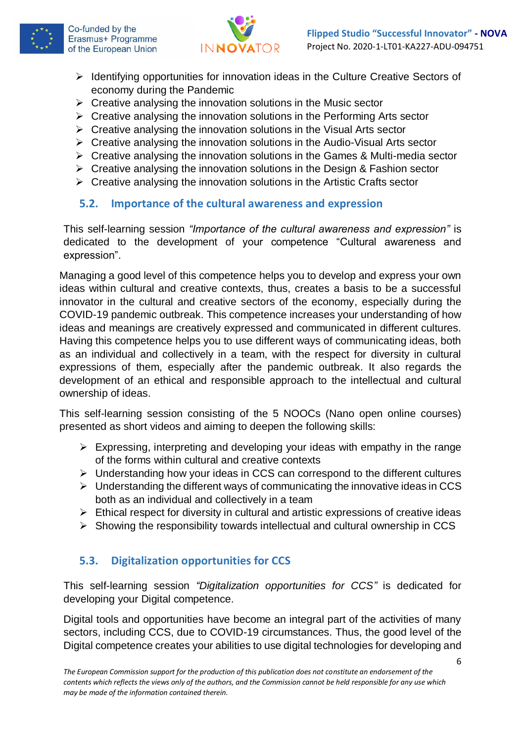



- ➢ Identifying opportunities for innovation ideas in the Culture Creative Sectors of economy during the Pandemic
- $\triangleright$  Creative analysing the innovation solutions in the Music sector
- ➢ Creative analysing the innovation solutions in the Performing Arts sector
- $\triangleright$  Creative analysing the innovation solutions in the Visual Arts sector
- ➢ Creative analysing the innovation solutions in the Audio-Visual Arts sector
- ➢ Creative analysing the innovation solutions in the Games & Multi-media sector
- ➢ Creative analysing the innovation solutions in the Design & Fashion sector
- ➢ Creative analysing the innovation solutions in the Artistic Crafts sector

## <span id="page-5-0"></span>**5.2. Importance of the cultural awareness and expression**

This self-learning session *"Importance of the cultural awareness and expression"* is dedicated to the development of your competence "Cultural awareness and expression".

Managing a good level of this competence helps you to develop and express your own ideas within cultural and creative contexts, thus, creates a basis to be a successful innovator in the cultural and creative sectors of the economy, especially during the COVID-19 pandemic outbreak. This competence increases your understanding of how ideas and meanings are creatively expressed and communicated in different cultures. Having this competence helps you to use different ways of communicating ideas, both as an individual and collectively in a team, with the respect for diversity in cultural expressions of them, especially after the pandemic outbreak. It also regards the development of an ethical and responsible approach to the intellectual and cultural ownership of ideas.

This self-learning session consisting of the 5 NOOCs (Nano open online courses) presented as short videos and aiming to deepen the following skills:

- $\triangleright$  Expressing, interpreting and developing your ideas with empathy in the range of the forms within cultural and creative contexts
- ➢ Understanding how your ideas in CCS can correspond to the different cultures
- $\triangleright$  Understanding the different ways of communicating the innovative ideas in CCS both as an individual and collectively in a team
- $\triangleright$  Ethical respect for diversity in cultural and artistic expressions of creative ideas
- ➢ Showing the responsibility towards intellectual and cultural ownership in CCS

# <span id="page-5-1"></span>**5.3. Digitalization opportunities for CCS**

This self-learning session *"Digitalization opportunities for CCS"* is dedicated for developing your Digital competence.

Digital tools and opportunities have become an integral part of the activities of many sectors, including CCS, due to COVID-19 circumstances. Thus, the good level of the Digital competence creates your abilities to use digital technologies for developing and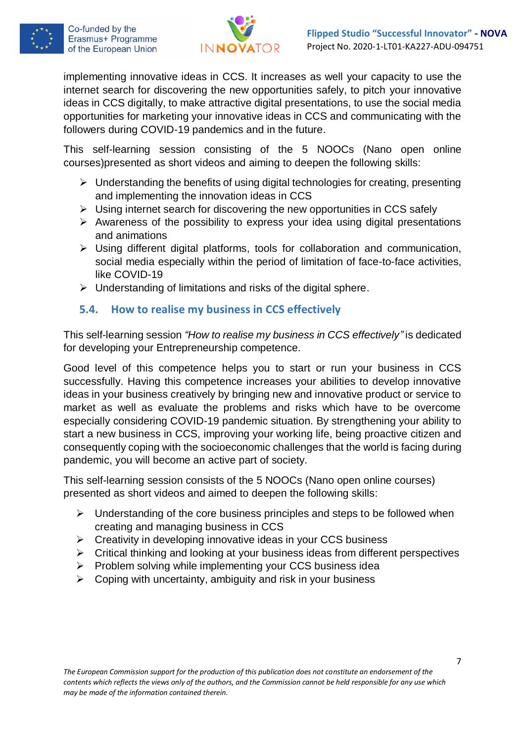



implementing innovative ideas in CCS. It increases as well your capacity to use the internet search for discovering the new opportunities safely, to pitch your innovative ideas in CCS digitally, to make attractive digital presentations, to use the social media opportunities for marketing your innovative ideas in CCS and communicating with the followers during COVID-19 pandemics and in the future.

This self-learning session consisting of the 5 NOOCs (Nano open online courses)presented as short videos and aiming to deepen the following skills:

- ➢ Understanding the benefits of using digital technologies for creating, presenting and implementing the innovation ideas in CCS
- ➢ Using internet search for discovering the new opportunities in CCS safely
- ➢ Awareness of the possibility to express your idea using digital presentations and animations
- ➢ Using different digital platforms, tools for collaboration and communication, social media especially within the period of limitation of face-to-face activities, like COVID-19
- ➢ Understanding of limitations and risks of the digital sphere.

## <span id="page-6-0"></span>**5.4. How to realise my business in CCS effectively**

This self-learning session *"How to realise my business in CCS effectively"* is dedicated for developing your Entrepreneurship competence.

Good level of this competence helps you to start or run your business in CCS successfully. Having this competence increases your abilities to develop innovative ideas in your business creatively by bringing new and innovative product or service to market as well as evaluate the problems and risks which have to be overcome especially considering COVID-19 pandemic situation. By strengthening your ability to start a new business in CCS, improving your working life, being proactive citizen and consequently coping with the socioeconomic challenges that the world is facing during pandemic, you will become an active part of society.

This self-learning session consists of the 5 NOOCs (Nano open online courses) presented as short videos and aimed to deepen the following skills:

- $\triangleright$  Understanding of the core business principles and steps to be followed when creating and managing business in CCS
- ➢ Creativity in developing innovative ideas in your CCS business
- ➢ Critical thinking and looking at your business ideas from different perspectives
- ➢ Problem solving while implementing your CCS business idea
- $\triangleright$  Coping with uncertainty, ambiguity and risk in your business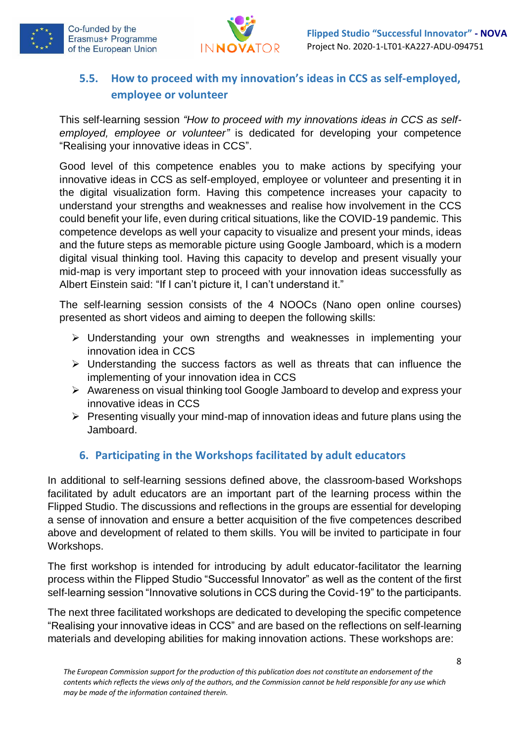



# <span id="page-7-0"></span>**5.5. How to proceed with my innovation's ideas in CCS as self-employed, employee or volunteer**

This self-learning session *"How to proceed with my innovations ideas in CCS as selfemployed, employee or volunteer"* is dedicated for developing your competence "Realising your innovative ideas in CCS".

Good level of this competence enables you to make actions by specifying your innovative ideas in CCS as self-employed, employee or volunteer and presenting it in the digital visualization form. Having this competence increases your capacity to understand your strengths and weaknesses and realise how involvement in the CCS could benefit your life, even during critical situations, like the COVID-19 pandemic. This competence develops as well your capacity to visualize and present your minds, ideas and the future steps as memorable picture using Google Jamboard, which is a modern digital visual thinking tool. Having this capacity to develop and present visually your mid-map is very important step to proceed with your innovation ideas successfully as Albert Einstein said: "If I can't picture it, I can't understand it."

The self-learning session consists of the 4 NOOCs (Nano open online courses) presented as short videos and aiming to deepen the following skills:

- ➢ Understanding your own strengths and weaknesses in implementing your innovation idea in CCS
- ➢ Understanding the success factors as well as threats that can influence the implementing of your innovation idea in CCS
- ➢ Awareness on visual thinking tool Google Jamboard to develop and express your innovative ideas in CCS
- ➢ Presenting visually your mind-map of innovation ideas and future plans using the Jamboard.

# <span id="page-7-1"></span>**6. Participating in the Workshops facilitated by adult educators**

In additional to self-learning sessions defined above, the classroom-based Workshops facilitated by adult educators are an important part of the learning process within the Flipped Studio. The discussions and reflections in the groups are essential for developing a sense of innovation and ensure a better acquisition of the five competences described above and development of related to them skills. You will be invited to participate in four Workshops.

The first workshop is intended for introducing by adult educator-facilitator the learning process within the Flipped Studio "Successful Innovator" as well as the content of the first self-learning session "Innovative solutions in CCS during the Covid-19" to the participants.

The next three facilitated workshops are dedicated to developing the specific competence "Realising your innovative ideas in CCS" and are based on the reflections on self-learning materials and developing abilities for making innovation actions. These workshops are: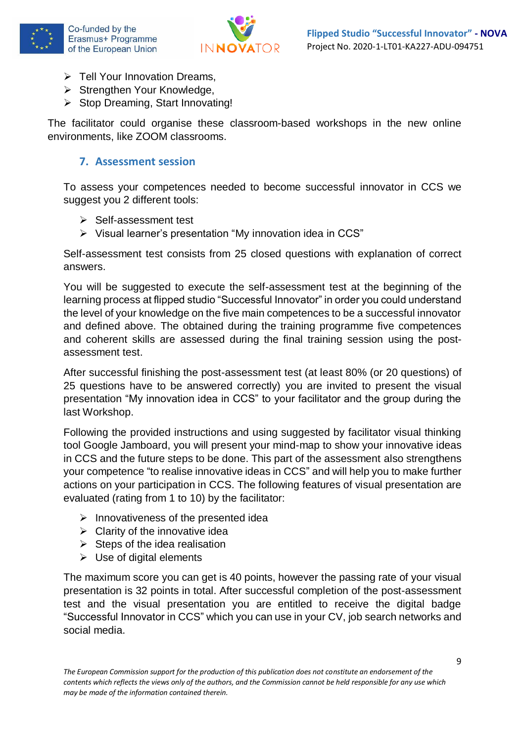



- ➢ Tell Your Innovation Dreams,
- ➢ Strengthen Your Knowledge,
- ➢ Stop Dreaming, Start Innovating!

The facilitator could organise these classroom-based workshops in the new online environments, like ZOOM classrooms.

### <span id="page-8-0"></span>**7. Assessment session**

To assess your competences needed to become successful innovator in CCS we suggest you 2 different tools:

- ➢ Self-assessment test
- ➢ Visual learner's presentation "My innovation idea in CCS"

Self-assessment test consists from 25 closed questions with explanation of correct answers.

You will be suggested to execute the self-assessment test at the beginning of the learning process at flipped studio "Successful Innovator" in order you could understand the level of your knowledge on the five main competences to be a successful innovator and defined above. The obtained during the training programme five competences and coherent skills are assessed during the final training session using the postassessment test.

After successful finishing the post-assessment test (at least 80% (or 20 questions) of 25 questions have to be answered correctly) you are invited to present the visual presentation "My innovation idea in CCS" to your facilitator and the group during the last Workshop.

Following the provided instructions and using suggested by facilitator visual thinking tool Google Jamboard, you will present your mind-map to show your innovative ideas in CCS and the future steps to be done. This part of the assessment also strengthens your competence "to realise innovative ideas in CCS" and will help you to make further actions on your participation in CCS. The following features of visual presentation are evaluated (rating from 1 to 10) by the facilitator:

- $\triangleright$  Innovativeness of the presented idea
- $\triangleright$  Clarity of the innovative idea
- $\triangleright$  Steps of the idea realisation
- $\triangleright$  Use of digital elements

The maximum score you can get is 40 points, however the passing rate of your visual presentation is 32 points in total. After successful completion of the post-assessment test and the visual presentation you are entitled to receive the digital badge "Successful Innovator in CCS" which you can use in your CV, job search networks and social media.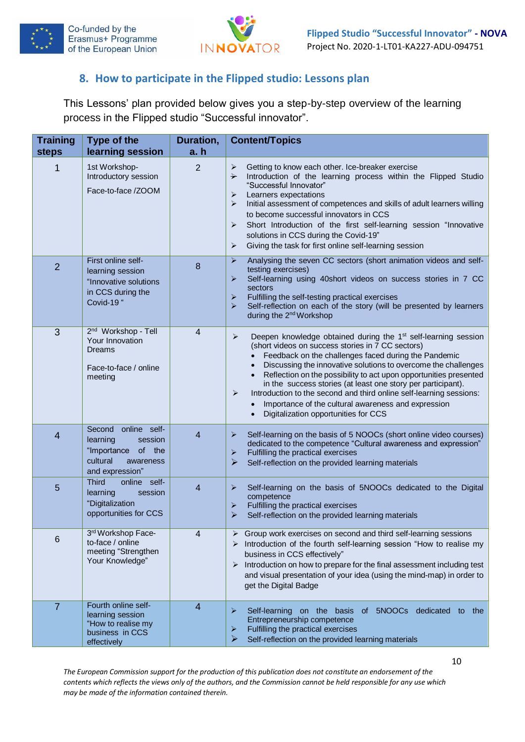



### <span id="page-9-0"></span>**8. How to participate in the Flipped studio: Lessons plan**

This Lessons' plan provided below gives you a step-by-step overview of the learning process in the Flipped studio "Successful innovator".

| <b>Training</b><br><b>steps</b> | Type of the<br>learning session                                                                                    | Duration,<br>a. h | <b>Content/Topics</b>                                                                                                                                                                                                                                                                                                                                                                                                                                                                                                                                                          |
|---------------------------------|--------------------------------------------------------------------------------------------------------------------|-------------------|--------------------------------------------------------------------------------------------------------------------------------------------------------------------------------------------------------------------------------------------------------------------------------------------------------------------------------------------------------------------------------------------------------------------------------------------------------------------------------------------------------------------------------------------------------------------------------|
| 1                               | 1st Workshop-<br>Introductory session<br>Face-to-face /ZOOM                                                        | $\overline{2}$    | Getting to know each other. Ice-breaker exercise<br>➤<br>Introduction of the learning process within the Flipped Studio<br>$\rightarrow$<br>"Successful Innovator"<br>Learners expectations<br>➤<br>Initial assessment of competences and skills of adult learners willing<br>➤<br>to become successful innovators in CCS<br>Short Introduction of the first self-learning session "Innovative<br>➤<br>solutions in CCS during the Covid-19"<br>Giving the task for first online self-learning session<br>➤                                                                    |
| $\overline{2}$                  | First online self-<br>learning session<br>"Innovative solutions<br>in CCS during the<br>Covid-19 "                 | 8                 | $\blacktriangleright$<br>Analysing the seven CC sectors (short animation videos and self-<br>testing exercises)<br>Self-learning using 40short videos on success stories in 7 CC<br>➤<br>sectors<br>Fulfilling the self-testing practical exercises<br>➤<br>Self-reflection on each of the story (will be presented by learners<br>➤<br>during the 2 <sup>nd</sup> Workshop                                                                                                                                                                                                    |
| 3                               | 2 <sup>nd</sup> Workshop - Tell<br>Your Innovation<br>Dreams<br>Face-to-face / online<br>meeting                   | $\overline{4}$    | ≻<br>Deepen knowledge obtained during the 1 <sup>st</sup> self-learning session<br>(short videos on success stories in 7 CC sectors)<br>Feedback on the challenges faced during the Pandemic<br>Discussing the innovative solutions to overcome the challenges<br>Reflection on the possibility to act upon opportunities presented<br>in the success stories (at least one story per participant).<br>Introduction to the second and third online self-learning sessions:<br>➤<br>Importance of the cultural awareness and expression<br>Digitalization opportunities for CCS |
| 4                               | online self-<br>Second<br>learning<br>session<br>"Importance<br>of the<br>cultural<br>awareness<br>and expression" | 4                 | ➤<br>Self-learning on the basis of 5 NOOCs (short online video courses)<br>dedicated to the competence "Cultural awareness and expression"<br>Fulfilling the practical exercises<br>⋗<br>$\blacktriangleright$<br>Self-reflection on the provided learning materials                                                                                                                                                                                                                                                                                                           |
| 5                               | <b>Third</b><br>online self-<br>session<br>learning<br>"Digitalization<br>opportunities for CCS                    | 4                 | ⋗<br>Self-learning on the basis of 5NOOCs dedicated to the Digital<br>competence<br>Fulfilling the practical exercises<br>➤<br>$\blacktriangleright$<br>Self-reflection on the provided learning materials                                                                                                                                                                                                                                                                                                                                                                     |
| 6                               | 3rd Workshop Face-<br>to-face / online<br>meeting "Strengthen<br>Your Knowledge"                                   | 4                 | > Group work exercises on second and third self-learning sessions<br>> Introduction of the fourth self-learning session "How to realise my<br>business in CCS effectively"<br>$\triangleright$ Introduction on how to prepare for the final assessment including test<br>and visual presentation of your idea (using the mind-map) in order to<br>get the Digital Badge                                                                                                                                                                                                        |
| $\overline{7}$                  | Fourth online self-<br>learning session<br>"How to realise my<br>business in CCS<br>effectively                    | $\overline{4}$    | Self-learning on the basis of<br>5NOOCs dedicated to the<br>⋗<br>Entrepreneurship competence<br>Fulfilling the practical exercises<br>➤<br>➤<br>Self-reflection on the provided learning materials                                                                                                                                                                                                                                                                                                                                                                             |

*The European Commission support for the production of this publication does not constitute an endorsement of the contents which reflects the views only of the authors, and the Commission cannot be held responsible for any use which may be made of the information contained therein.*